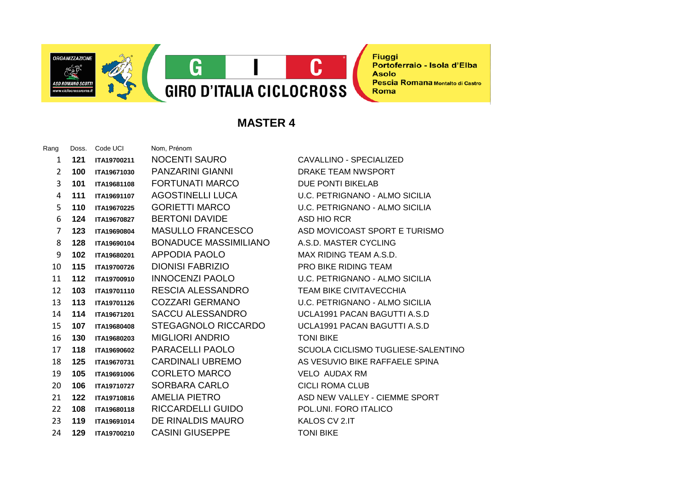

**MASTER 4**

| Rang | Doss. | Code UCI    | Nom, Prénom            |
|------|-------|-------------|------------------------|
| 1    | 121   | ITA19700211 | NOCENTI SAURO          |
| 2    | 100   | ITA19671030 | PANZARINI GIANN        |
| 3    | 101   | ITA19681108 | FORTUNATI MARC         |
| 4    | 111   | ITA19691107 | <b>AGOSTINELLI LUC</b> |
| 5    | 110   | ITA19670225 | <b>GORIETTI MARCO</b>  |
| 6    | 124   | ITA19670827 | <b>BERTONI DAVIDE</b>  |
| 7    | 123   | ITA19690804 | <b>MASULLO FRANCE</b>  |
| 8    | 128   | ITA19690104 | <b>BONADUCE MASS</b>   |
| 9    | 102   | ITA19680201 | APPODIA PAOLO          |
| 10   | 115   | ITA19700726 | DIONISI FABRIZIO       |
| 11   | 112   | ITA19700910 | <b>INNOCENZI PAOLO</b> |
| 12   | 103   | ITA19701110 | RESCIA ALESSANI        |
| 13   | 113   | ITA19701126 | <b>COZZARI GERMAN</b>  |
| 14   | 114   | ITA19671201 | <b>SACCU ALESSAND</b>  |
| 15   | 107   | ITA19680408 | <b>STEGAGNOLO RIC</b>  |
| 16   | 130   | ITA19680203 | <b>MIGLIORI ANDRIO</b> |
| 17   | 118   | ITA19690602 | PARACELLI PAOL(        |
| 18   | 125   | ITA19670731 | <b>CARDINALI UBREN</b> |
| 19   | 105   | ITA19691006 | <b>CORLETO MARCO</b>   |
| 20   | 106   | ITA19710727 | SORBARA CARLO          |
| 21   | 122   | ITA19710816 | AMELIA PIETRO          |
| 22   | 108   | ITA19680118 | RICCARDELLI GUII       |
| 23   | 119   | ITA19691014 | DE RINALDIS MAU        |
| 24   | 129   | ITA19700210 | <b>CASINI GIUSEPPE</b> |

1 **121 ITA19700211** NOCENTI SAURO CAVALLINO - SPECIALIZED **1000 ITALIE DRAKE TEAM NWSPORT** 3 **101 ITA19681108** FORTUNATI MARCO DUE PONTI BIKELAB <sup>2</sup> 1111 **ITAliga ITAN D.C. PETRIGNANO - ALMO SICILIA U.C. PETRIGNANO - ALMO SICILIA ASD HIO RCR ESCO** ASD MOVICOAST SPORT E TURISMO **IMILIANO** A.S.D. MASTER CYCLING **MAX RIDING TEAM A.S.D. PRO BIKE RIDING TEAM** 11 **112 ITA19700910** INNOCENZI PAOLO U.C. PETRIGNANO - ALMO SICILIA **DRO TEAM BIKE CIVITAVECCHIA** 13 **113 ITA19701126** COZZARI GERMANO U.C. PETRIGNANO - ALMO SICILIA 14 **114 ITA19671201** SACCU ALESSANDRO UCLA1991 PACAN BAGUTTI A.S.D **CCARDO UCLA1991 PACAN BAGUTTI A.S.D 15 TONI BIKE** 17 **118 ITA19690602** PARACELLI PAOLO SCUOLA CICLISMO TUGLIESE-SALENTINO 18 **125** INCOCO **ITALISH SEE SPINA VELO AUDAX RM CICLI ROMA CLUB ASD NEW VALLEY - CIEMME SPORT IDO POL.UNI. FORO ITALICO IRO ITALLOS CV 2.IT TONI BIKE** 

**Fiuggi** 

**Asolo** 

Roma

Portoferraio - Isola d'Elba

Pescia Romana Montalto di Castro